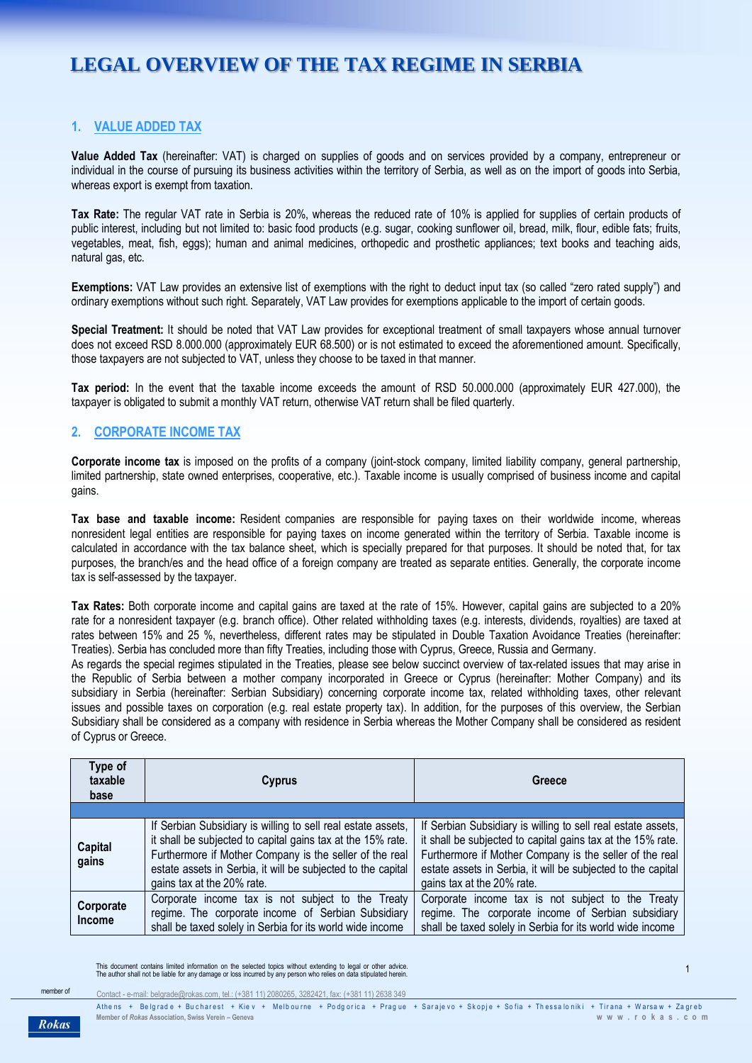# **LEGAL OVERVIEW OF THE TAX REGIME IN SERBIA**

# **1. VALUE ADDED TAX**

**Value Added Tax** (hereinafter: VAT) is charged on supplies of goods and on services provided by a company, entrepreneur or individual in the course of pursuing its business activities within the territory of Serbia, as well as on the import of goods into Serbia, whereas export is exempt from taxation.

**Tax Rate:** The regular VAT rate in Serbia is 20%, whereas the reduced rate of 10% is applied for supplies of certain products of public interest, including but not limited to: basic food products (e.g. sugar, cooking sunflower oil, bread, milk, flour, edible fats; fruits, vegetables, meat, fish, eggs); human and animal medicines, orthopedic and prosthetic appliances; text books and teaching aids, natural gas, etc.

**Exemptions:** VAT Law provides an extensive list of exemptions with the right to deduct input tax (so called "zero rated supply") and ordinary exemptions without such right. Separately, VAT Law provides for exemptions applicable to the import of certain goods.

**Special Treatment:** It should be noted that VAT Law provides for exceptional treatment of small taxpayers whose annual turnover does not exceed RSD 8.000.000 (approximately EUR 68.500) or is not estimated to exceed the aforementioned amount. Specifically, those taxpayers are not subjected to VAT, unless they choose to be taxed in that manner.

**Tax period:** In the event that the taxable income exceeds the amount of RSD 50.000.000 (approximately EUR 427.000), the taxpayer is obligated to submit a monthly VAT return, otherwise VAT return shall be filed quarterly.

#### **2. CORPORATE INCOME TAX**

**Corporate income tax** is imposed on the profits of a company (joint-stock company, limited liability company, general partnership, limited partnership, state owned enterprises, cooperative, etc.). Taxable income is usually comprised of business income and capital gains.

**Tax base and taxable income:** Resident companies are responsible for paying taxes on their worldwide income, whereas nonresident legal entities are responsible for paying taxes on income generated within the territory of Serbia. Taxable income is calculated in accordance with the tax balance sheet, which is specially prepared for that purposes. It should be noted that, for tax purposes, the branch/es and the head office of a foreign company are treated as separate entities. Generally, the corporate income tax is self-assessed by the taxpayer.

**Tax Rates:** Both corporate income and capital gains are taxed at the rate of 15%. However, capital gains are subjected to a 20% rate for a nonresident taxpayer (e.g. branch office). Other related withholding taxes (e.g. interests, dividends, royalties) are taxed at rates between 15% and 25 %, nevertheless, different rates may be stipulated in Double Taxation Avoidance Treaties (hereinafter: Treaties). Serbia has concluded more than fifty Treaties, including those with Cyprus, Greece, Russia and Germany.

As regards the special regimes stipulated in the Treaties, please see below succinct overview of tax-related issues that may arise in the Republic of Serbia between a mother company incorporated in Greece or Cyprus (hereinafter: Mother Company) and its subsidiary in Serbia (hereinafter: Serbian Subsidiary) concerning corporate income tax, related withholding taxes, other relevant issues and possible taxes on corporation (e.g. real estate property tax). In addition, for the purposes of this overview, the Serbian Subsidiary shall be considered as a company with residence in Serbia whereas the Mother Company shall be considered as resident of Cyprus or Greece.

| Type of<br>taxable<br>base | Cyprus                                                                                                                                                                                                                                                                               | Greece                                                                                                                                                                                                                                                                               |
|----------------------------|--------------------------------------------------------------------------------------------------------------------------------------------------------------------------------------------------------------------------------------------------------------------------------------|--------------------------------------------------------------------------------------------------------------------------------------------------------------------------------------------------------------------------------------------------------------------------------------|
|                            |                                                                                                                                                                                                                                                                                      |                                                                                                                                                                                                                                                                                      |
| <b>Capital</b><br>gains    | If Serbian Subsidiary is willing to sell real estate assets,<br>it shall be subjected to capital gains tax at the 15% rate.<br>Furthermore if Mother Company is the seller of the real<br>estate assets in Serbia, it will be subjected to the capital<br>gains tax at the 20% rate. | If Serbian Subsidiary is willing to sell real estate assets,<br>it shall be subjected to capital gains tax at the 15% rate.<br>Furthermore if Mother Company is the seller of the real<br>estate assets in Serbia, it will be subjected to the capital<br>gains tax at the 20% rate. |
| Corporate<br>Income        | Corporate income tax is not subject to the Treaty<br>regime. The corporate income of Serbian Subsidiary<br>shall be taxed solely in Serbia for its world wide income                                                                                                                 | Corporate income tax is not subject to the Treaty<br>regime. The corporate income of Serbian subsidiary<br>shall be taxed solely in Serbia for its world wide income                                                                                                                 |

This document contains limited information on the selected topics without extending to legal or other advice.<br>The author shall not be liable for any damage or loss incurred by any person who relies on data stipulated herei

Contact - e-mail: [belgrade@rokas.com,](mailto:belgrade@rokas.com) tel.: (+381 11) 2080265, 3282421, fax: (+381 11) 2638 349

**Rokas**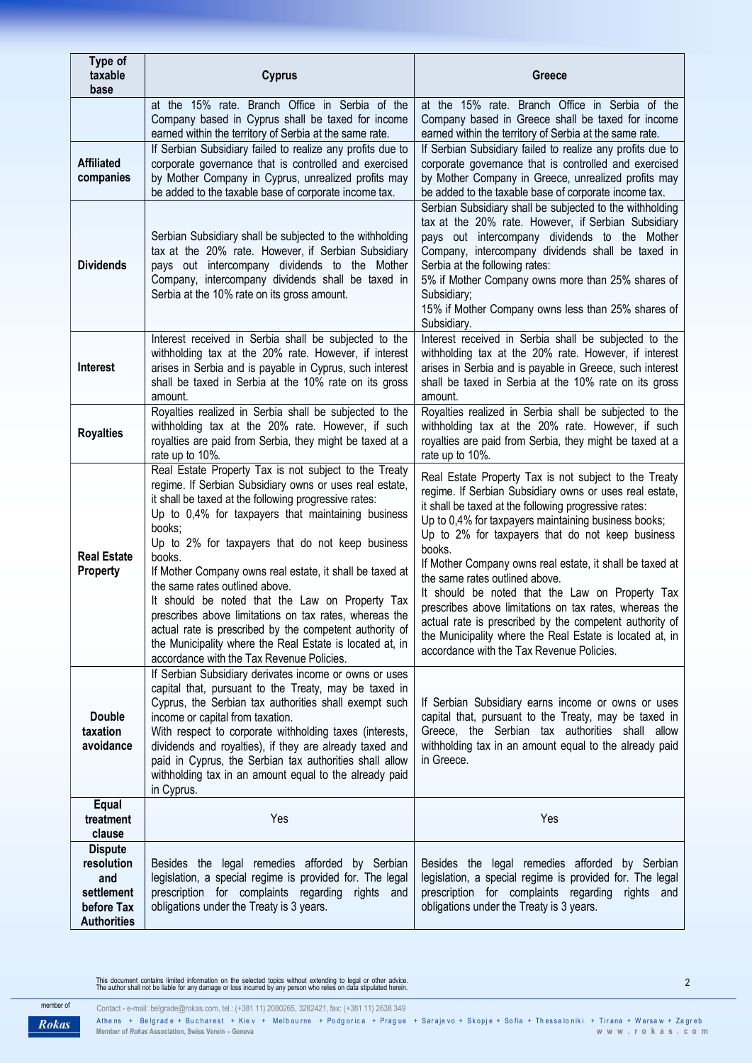| Type of<br>taxable<br>base                                                            | <b>Cyprus</b>                                                                                                                                                                                                                                                                                                                                                                                                                                                                                                                                                                                                                                                                          | Greece                                                                                                                                                                                                                                                                                                                                                                                                                                                                                                                                                                                                                                                                         |
|---------------------------------------------------------------------------------------|----------------------------------------------------------------------------------------------------------------------------------------------------------------------------------------------------------------------------------------------------------------------------------------------------------------------------------------------------------------------------------------------------------------------------------------------------------------------------------------------------------------------------------------------------------------------------------------------------------------------------------------------------------------------------------------|--------------------------------------------------------------------------------------------------------------------------------------------------------------------------------------------------------------------------------------------------------------------------------------------------------------------------------------------------------------------------------------------------------------------------------------------------------------------------------------------------------------------------------------------------------------------------------------------------------------------------------------------------------------------------------|
| <b>Affiliated</b><br>companies                                                        | at the 15% rate. Branch Office in Serbia of the<br>Company based in Cyprus shall be taxed for income<br>earned within the territory of Serbia at the same rate.<br>If Serbian Subsidiary failed to realize any profits due to<br>corporate governance that is controlled and exercised<br>by Mother Company in Cyprus, unrealized profits may<br>be added to the taxable base of corporate income tax.                                                                                                                                                                                                                                                                                 | at the 15% rate. Branch Office in Serbia of the<br>Company based in Greece shall be taxed for income<br>earned within the territory of Serbia at the same rate.<br>If Serbian Subsidiary failed to realize any profits due to<br>corporate governance that is controlled and exercised<br>by Mother Company in Greece, unrealized profits may<br>be added to the taxable base of corporate income tax.                                                                                                                                                                                                                                                                         |
| <b>Dividends</b>                                                                      | Serbian Subsidiary shall be subjected to the withholding<br>tax at the 20% rate. However, if Serbian Subsidiary<br>pays out intercompany dividends to the Mother<br>Company, intercompany dividends shall be taxed in<br>Serbia at the 10% rate on its gross amount.                                                                                                                                                                                                                                                                                                                                                                                                                   | Serbian Subsidiary shall be subjected to the withholding<br>tax at the 20% rate. However, if Serbian Subsidiary<br>pays out intercompany dividends to the Mother<br>Company, intercompany dividends shall be taxed in<br>Serbia at the following rates:<br>5% if Mother Company owns more than 25% shares of<br>Subsidiary;<br>15% if Mother Company owns less than 25% shares of<br>Subsidiary.                                                                                                                                                                                                                                                                               |
| <b>Interest</b>                                                                       | Interest received in Serbia shall be subjected to the<br>withholding tax at the 20% rate. However, if interest<br>arises in Serbia and is payable in Cyprus, such interest<br>shall be taxed in Serbia at the 10% rate on its gross<br>amount.                                                                                                                                                                                                                                                                                                                                                                                                                                         | Interest received in Serbia shall be subjected to the<br>withholding tax at the 20% rate. However, if interest<br>arises in Serbia and is payable in Greece, such interest<br>shall be taxed in Serbia at the 10% rate on its gross<br>amount.                                                                                                                                                                                                                                                                                                                                                                                                                                 |
| <b>Royalties</b>                                                                      | Royalties realized in Serbia shall be subjected to the<br>withholding tax at the 20% rate. However, if such<br>royalties are paid from Serbia, they might be taxed at a<br>rate up to 10%.                                                                                                                                                                                                                                                                                                                                                                                                                                                                                             | Royalties realized in Serbia shall be subjected to the<br>withholding tax at the 20% rate. However, if such<br>royalties are paid from Serbia, they might be taxed at a<br>rate up to 10%.                                                                                                                                                                                                                                                                                                                                                                                                                                                                                     |
| <b>Real Estate</b><br><b>Property</b>                                                 | Real Estate Property Tax is not subject to the Treaty<br>regime. If Serbian Subsidiary owns or uses real estate,<br>it shall be taxed at the following progressive rates:<br>Up to 0,4% for taxpayers that maintaining business<br>books:<br>Up to 2% for taxpayers that do not keep business<br>books.<br>If Mother Company owns real estate, it shall be taxed at<br>the same rates outlined above.<br>It should be noted that the Law on Property Tax<br>prescribes above limitations on tax rates, whereas the<br>actual rate is prescribed by the competent authority of<br>the Municipality where the Real Estate is located at, in<br>accordance with the Tax Revenue Policies. | Real Estate Property Tax is not subject to the Treaty<br>regime. If Serbian Subsidiary owns or uses real estate,<br>it shall be taxed at the following progressive rates:<br>Up to 0,4% for taxpayers maintaining business books;<br>Up to 2% for taxpayers that do not keep business<br>books.<br>If Mother Company owns real estate, it shall be taxed at<br>the same rates outlined above.<br>It should be noted that the Law on Property Tax<br>prescribes above limitations on tax rates, whereas the<br>actual rate is prescribed by the competent authority of<br>the Municipality where the Real Estate is located at, in<br>accordance with the Tax Revenue Policies. |
| <b>Double</b><br>taxation<br>avoidance                                                | If Serbian Subsidiary derivates income or owns or uses<br>capital that, pursuant to the Treaty, may be taxed in<br>Cyprus, the Serbian tax authorities shall exempt such<br>income or capital from taxation.<br>With respect to corporate withholding taxes (interests,<br>dividends and royalties), if they are already taxed and<br>paid in Cyprus, the Serbian tax authorities shall allow<br>withholding tax in an amount equal to the already paid<br>in Cyprus.                                                                                                                                                                                                                  | If Serbian Subsidiary earns income or owns or uses<br>capital that, pursuant to the Treaty, may be taxed in<br>Greece, the Serbian tax authorities shall allow<br>withholding tax in an amount equal to the already paid<br>in Greece.                                                                                                                                                                                                                                                                                                                                                                                                                                         |
| Equal<br>treatment<br>clause                                                          | Yes                                                                                                                                                                                                                                                                                                                                                                                                                                                                                                                                                                                                                                                                                    | Yes                                                                                                                                                                                                                                                                                                                                                                                                                                                                                                                                                                                                                                                                            |
| <b>Dispute</b><br>resolution<br>and<br>settlement<br>before Tax<br><b>Authorities</b> | Besides the legal remedies afforded by Serbian<br>legislation, a special regime is provided for. The legal<br>prescription for complaints regarding<br>rights and<br>obligations under the Treaty is 3 years.                                                                                                                                                                                                                                                                                                                                                                                                                                                                          | Besides the legal remedies afforded by Serbian<br>legislation, a special regime is provided for. The legal<br>prescription for complaints regarding<br>rights<br>and<br>obligations under the Treaty is 3 years.                                                                                                                                                                                                                                                                                                                                                                                                                                                               |

This document contains limited information on the selected topics without extending to legal or other advice.<br>The author shall not be liable for any damage or loss incurred by any person who relies on data stipulated herei

Contact - e-mail: [belgrade@rokas.com,](mailto:belgrade@rokas.com) tel.: (+381 11) 2080265, 3282421, fax: (+381 11) 2638 349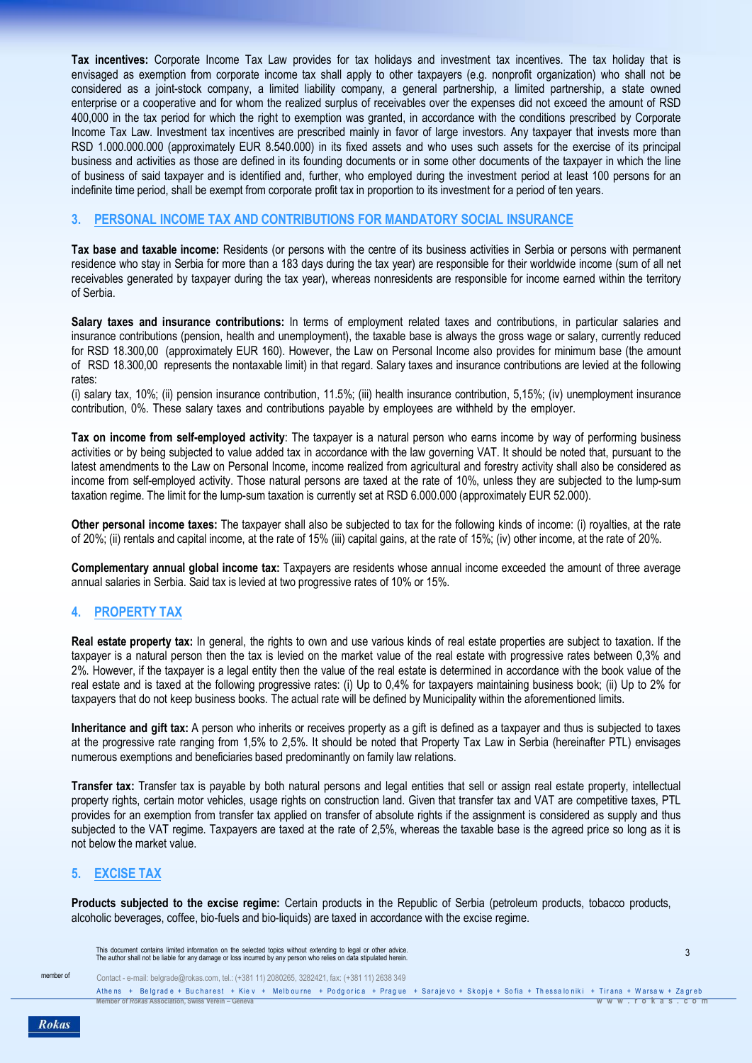**Tax incentives:** Corporate Income Tax Law provides for tax holidays and investment tax incentives. The tax holiday that is envisaged as exemption from corporate income tax shall apply to other taxpayers (e.g. nonprofit organization) who shall not be considered as a joint-stock company, a limited liability company, a general partnership, a limited partnership, a state owned enterprise or a cooperative and for whom the realized surplus of receivables over the expenses did not exceed the amount of RSD 400,000 in the tax period for which the right to exemption was granted, in accordance with the conditions prescribed by Corporate Income Tax Law. Investment tax incentives are prescribed mainly in favor of large investors. Any taxpayer that invests more than RSD 1.000.000.000 (approximately EUR 8.540.000) in its fixed assets and who uses such assets for the exercise of its principal business and activities as those are defined in its founding documents or in some other documents of the taxpayer in which the line of business of said taxpayer and is identified and, further, who employed during the investment period at least 100 persons for an indefinite time period, shall be exempt from corporate profit tax in proportion to its investment for a period of ten years.

### **3. PERSONAL INCOME TAX AND CONTRIBUTIONS FOR MANDATORY SOCIAL INSURANCE**

**Tax base and taxable income:** Residents (or persons with the centre of its business activities in Serbia or persons with permanent residence who stay in Serbia for more than a 183 days during the tax year) are responsible for their worldwide income (sum of all net receivables generated by taxpayer during the tax year), whereas nonresidents are responsible for income earned within the territory of Serbia.

**Salary taxes and insurance contributions:** In terms of employment related taxes and contributions, in particular salaries and insurance contributions (pension, health and unemployment), the taxable base is always the gross wage or salary, currently reduced for RSD 18.300,00 (approximately EUR 160). However, the Law on Personal Income also provides for minimum base (the amount of RSD 18.300,00 represents the nontaxable limit) in that regard. Salary taxes and insurance contributions are levied at the following rates:

(i) salary tax, 10%; (ii) pension insurance contribution, 11.5%; (iii) health insurance contribution, 5,15%; (iv) unemployment insurance contribution, 0%. These salary taxes and contributions payable by employees are withheld by the employer.

**Tax on income from self-employed activity**: The taxpayer is a natural person who earns income by way of performing business activities or by being subjected to value added tax in accordance with the law governing VAT. It should be noted that, pursuant to the latest amendments to the Law on Personal Income, income realized from agricultural and forestry activity shall also be considered as income from self-employed activity. Those natural persons are taxed at the rate of 10%, unless they are subjected to the lump-sum taxation regime. The limit for the lump-sum taxation is currently set at RSD 6.000.000 (approximately EUR 52.000).

**Other personal income taxes:** The taxpayer shall also be subjected to tax for the following kinds of income: (i) royalties, at the rate of 20%; (ii) rentals and capital income, at the rate of 15% (iii) capital gains, at the rate of 15%; (iv) other income, at the rate of 20%.

**Complementary annual global income tax:** Taxpayers are residents whose annual income exceeded the amount of three average annual salaries in Serbia. Said tax is levied at two progressive rates of 10% or 15%.

# **4. PROPERTY TAX**

**Real estate property tax:** In general, the rights to own and use various kinds of real estate properties are subject to taxation. If the taxpayer is a natural person then the tax is levied on the market value of the real estate with progressive rates between 0,3% and 2%. However, if the taxpayer is a legal entity then the value of the real estate is determined in accordance with the book value of the real estate and is taxed at the following progressive rates: (i) Up to 0,4% for taxpayers maintaining business book; (ii) Up to 2% for taxpayers that do not keep business books. The actual rate will be defined by Municipality within the aforementioned limits.

**Inheritance and gift tax:** A person who inherits or receives property as a gift is defined as a taxpayer and thus is subjected to taxes at the progressive rate ranging from 1,5% to 2,5%. It should be noted that Property Tax Law in Serbia (hereinafter PTL) envisages numerous exemptions and beneficiaries based predominantly on family law relations.

**Transfer tax:** Transfer tax is payable by both natural persons and legal entities that sell or assign real estate property, intellectual property rights, certain motor vehicles, usage rights on construction land. Given that transfer tax and VAT are competitive taxes, PTL provides for an exemption from transfer tax applied on transfer of absolute rights if the assignment is considered as supply and thus subjected to the VAT regime. Taxpayers are taxed at the rate of 2,5%, whereas the taxable base is the agreed price so long as it is not below the market value.

# **5. EXCISE TAX**

**Products subjected to the excise regime:** Certain products in the Republic of Serbia (petroleum products, tobacco products, alcoholic beverages, coffee, bio-fuels and bio-liquids) are taxed in accordance with the excise regime.

This document contains limited information on the selected topics without extending to legal or other advice.<br>The author shall not be liable for any damage or loss incurred by any person who relies on data stipulated herei

member of

Contact - e-mail: [belgrade@rokas.com,](mailto:belgrade@rokas.com) tel.: (+381 11) 2080265, 3282421, fax: (+381 11) 2638 349

Athens + Belgrade + Bucharest + Kiev + Melbourne + Podgorica + Prague + Sarajevo + Skopje + Sofia + Thessaloniki + Tirana + Warsaw + Zagreb **Member of** *Rokas* **Association, Swiss Verein – Geneva w w w . r o k a s . c o m**